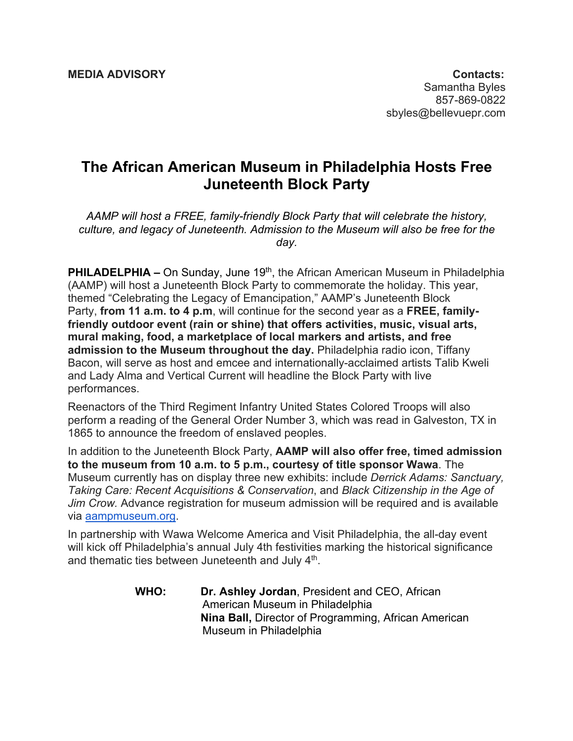## **The African American Museum in Philadelphia Hosts Free Juneteenth Block Party**

*AAMP will host a FREE, family-friendly Block Party that will celebrate the history, culture, and legacy of Juneteenth. Admission to the Museum will also be free for the day.*

**PHILADELPHIA –** On Sunday, June 19<sup>th</sup>, the African American Museum in Philadelphia (AAMP) will host a Juneteenth Block Party to commemorate the holiday. This year, themed "Celebrating the Legacy of Emancipation," AAMP's Juneteenth Block Party, **from 11 a.m. to 4 p.m**, will continue for the second year as a **FREE, familyfriendly outdoor event (rain or shine) that offers activities, music, visual arts, mural making, food, a marketplace of local markers and artists, and free admission to the Museum throughout the day.** Philadelphia radio icon, Tiffany Bacon, will serve as host and emcee and internationally-acclaimed artists Talib Kweli and Lady Alma and Vertical Current will headline the Block Party with live performances.

Reenactors of the Third Regiment Infantry United States Colored Troops will also perform a reading of the General Order Number 3, which was read in Galveston, TX in 1865 to announce the freedom of enslaved peoples.

In addition to the Juneteenth Block Party, **AAMP will also offer free, timed admission to the museum from 10 a.m. to 5 p.m., courtesy of title sponsor Wawa**. The Museum currently has on display three new exhibits: include *Derrick Adams: Sanctuary, Taking Care: Recent Acquisitions & Conservation*, and *Black Citizenship in the Age of Jim Crow.* Advance registration for museum admission will be required and is available via aampmuseum.org.

In partnership with Wawa Welcome America and Visit Philadelphia, the all-day event will kick off Philadelphia's annual July 4th festivities marking the historical significance and thematic ties between Juneteenth and July 4<sup>th</sup>.

> **WHO: Dr. Ashley Jordan**, President and CEO, African American Museum in Philadelphia  **Nina Ball,** Director of Programming, African American Museum in Philadelphia